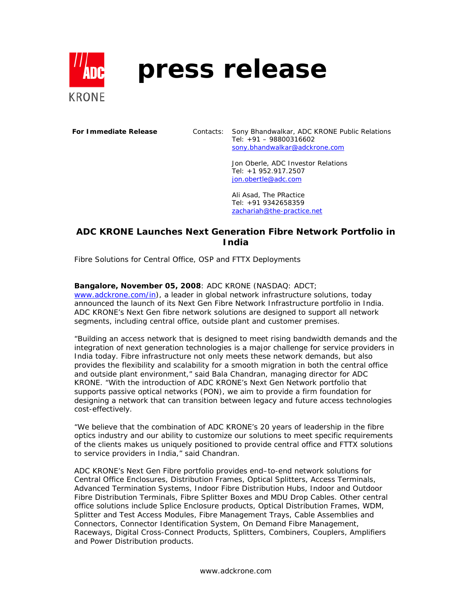

# **press release**

**For Immediate Release** Contacts: Sony Bhandwalkar, ADC KRONE Public Relations Tel: +91 – 98800316602 sony.bhandwalkar@adckrone.com

> Jon Oberle, ADC Investor Relations Tel: +1 952.917.2507 jon.obertle@adc.com

Ali Asad, The PRactice Tel: +91 9342658359 zachariah@the-practice.net

## **ADC KRONE Launches Next Generation Fibre Network Portfolio in India**

*Fibre Solutions for Central Office, OSP and FTTX Deployments*

#### **Bangalore, November 05, 2008**: ADC KRONE (NASDAQ: ADCT;

www.adckrone.com/in), a leader in global network infrastructure solutions, today announced the launch of its Next Gen Fibre Network Infrastructure portfolio in India. ADC KRONE's Next Gen fibre network solutions are designed to support all network segments, including central office, outside plant and customer premises.

"Building an access network that is designed to meet rising bandwidth demands and the integration of next generation technologies is a major challenge for service providers in India today. Fibre infrastructure not only meets these network demands, but also provides the flexibility and scalability for a smooth migration in both the central office and outside plant environment," said Bala Chandran, managing director for ADC KRONE. "With the introduction of ADC KRONE's Next Gen Network portfolio that supports passive optical networks (PON), we aim to provide a firm foundation for designing a network that can transition between legacy and future access technologies cost-effectively.

"We believe that the combination of ADC KRONE's 20 years of leadership in the fibre optics industry and our ability to customize our solutions to meet specific requirements of the clients makes us uniquely positioned to provide central office and FTTX solutions to service providers in India," said Chandran.

ADC KRONE's Next Gen Fibre portfolio provides end–to-end network solutions for Central Office Enclosures, Distribution Frames, Optical Splitters, Access Terminals, Advanced Termination Systems, Indoor Fibre Distribution Hubs, Indoor and Outdoor Fibre Distribution Terminals, Fibre Splitter Boxes and MDU Drop Cables. Other central office solutions include Splice Enclosure products, Optical Distribution Frames, WDM, Splitter and Test Access Modules, Fibre Management Trays, Cable Assemblies and Connectors, Connector Identification System, On Demand Fibre Management, Raceways, Digital Cross-Connect Products, Splitters, Combiners, Couplers, Amplifiers and Power Distribution products.